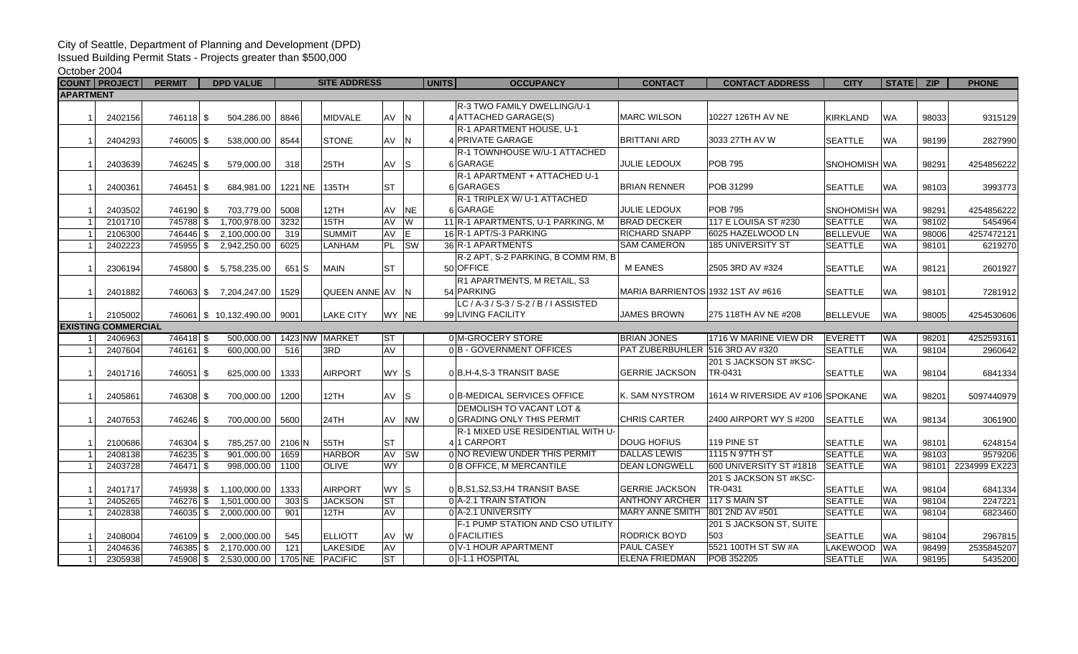## City of Seattle, Department of Planning and Development (DPD)

Issued Building Permit Stats - Projects greater than \$500,000

## October 2004

|                            | <b>COUNT   PROJECT</b> | <b>PERMIT</b> | <b>DPD VALUE</b>       |                 | <b>SITE ADDRESS</b> |           | <b>UNITS</b>            | <b>OCCUPANCY</b>                      | <b>CONTACT</b>                    | <b>CONTACT ADDRESS</b>           | <b>CITY</b>     | STATE ZIP |       | <b>PHONE</b>  |
|----------------------------|------------------------|---------------|------------------------|-----------------|---------------------|-----------|-------------------------|---------------------------------------|-----------------------------------|----------------------------------|-----------------|-----------|-------|---------------|
| <b>APARTMENT</b>           |                        |               |                        |                 |                     |           |                         |                                       |                                   |                                  |                 |           |       |               |
|                            |                        |               |                        |                 |                     |           |                         | R-3 TWO FAMILY DWELLING/U-1           |                                   |                                  |                 |           |       |               |
|                            | 2402156                | 746118 \$     | 504,286.00             | 8846            | <b>MIDVALE</b>      | AV N      |                         | 4 ATTACHED GARAGE(S)                  | <b>MARC WILSON</b>                | 10227 126TH AV NE                | <b>KIRKLAND</b> | <b>WA</b> | 98033 | 9315129       |
|                            |                        |               |                        |                 |                     |           |                         | R-1 APARTMENT HOUSE, U-1              |                                   |                                  |                 |           |       |               |
|                            | 2404293                | 746005 \$     | 538,000.00             | 8544            | <b>STONE</b>        | AV N      |                         | 4 PRIVATE GARAGE                      | <b>BRITTANI ARD</b>               | 3033 27TH AV W                   | <b>SEATTLE</b>  | <b>WA</b> | 98199 | 2827990       |
|                            |                        |               |                        |                 |                     |           |                         | R-1 TOWNHOUSE W/U-1 ATTACHED          |                                   |                                  |                 |           |       |               |
| $\overline{1}$             | 2403639                | 746245 \$     | 579,000.00             | 318             | 25TH                | $AV$ S    |                         | 6 GARAGE                              | <b>JULIE LEDOUX</b>               | <b>POB 795</b>                   | SNOHOMISH WA    |           | 98291 | 4254856222    |
|                            |                        |               |                        |                 |                     |           |                         | R-1 APARTMENT + ATTACHED U-1          |                                   |                                  |                 |           |       |               |
| $\overline{1}$             | 2400361                | 746451 \$     | 684,981.00             | 1221 NE         | 135TH               | <b>ST</b> |                         | 6 GARAGES                             | <b>BRIAN RENNER</b>               | POB 31299                        | <b>SEATTLE</b>  | <b>WA</b> | 98103 | 3993773       |
|                            |                        |               |                        |                 |                     |           |                         | R-1 TRIPLEX W/ U-1 ATTACHED           |                                   |                                  |                 |           |       |               |
| $\overline{1}$             | 2403502                | 746190 \$     | 703,779.00             | 5008            | 12TH                | AV        | <b>NE</b>               | 6 GARAGE                              | JULIE LEDOUX                      | <b>POB 795</b>                   | SNOHOMISH WA    |           | 98291 | 4254856222    |
| $\overline{1}$             | 2101710                | 745788 \$     | 1,700,978.00           | 3232            | 15TH                | AV        | <b>W</b>                | 11 R-1 APARTMENTS, U-1 PARKING, M     | <b>BRAD DECKER</b>                | 117 E LOUISA ST #230             | <b>SEATTLE</b>  | <b>WA</b> | 98102 | 5454964       |
| $\overline{1}$             | 2106300                | 746446 \$     | 2,100,000.00           | 319             | <b>SUMMIT</b>       | AV        | $\overline{E}$          | 16 R-1 APT/S-3 PARKING                | <b>RICHARD SNAPP</b>              | 6025 HAZELWOOD LN                | <b>BELLEVUE</b> | <b>WA</b> | 98006 | 4257472121    |
| $\overline{1}$             | 2402223                | 745955 \$     | 2,942,250.00           | 6025            | LANHAM              | PL        | <b>SW</b>               | 36 R-1 APARTMENTS                     | <b>SAM CAMERON</b>                | 185 UNIVERSITY ST                | <b>SEATTLE</b>  | <b>WA</b> | 98101 | 6219270       |
|                            |                        |               |                        |                 |                     |           |                         | R-2 APT, S-2 PARKING, B COMM RM, B    |                                   |                                  |                 |           |       |               |
| -1                         | 2306194                |               | 745800 \$ 5.758,235.00 | 651 S           | <b>MAIN</b>         | <b>ST</b> |                         | 50 OFFICE                             | <b>MEANES</b>                     | 2505 3RD AV #324                 | <b>SEATTLE</b>  | <b>WA</b> | 98121 | 2601927       |
|                            |                        |               |                        |                 |                     |           |                         | R1 APARTMENTS, M RETAIL, S3           |                                   |                                  |                 |           |       |               |
| $\overline{1}$             | 2401882                |               | 746063 \$7,204,247.00  | 1529            | QUEEN ANNE AV       |           | IN.                     | 54 PARKING                            | MARIA BARRIENTOS 1932 1ST AV #616 |                                  | <b>SEATTLE</b>  | <b>WA</b> | 98101 | 7281912       |
|                            |                        |               |                        |                 |                     |           |                         | LC / A-3 / S-3 / S-2 / B / I ASSISTED |                                   |                                  |                 |           |       |               |
|                            | 2105002                |               | 746061 \$10.132.490.00 | 9001            | <b>LAKE CITY</b>    |           | WY NE                   | 99 LIVING FACILITY                    | <b>JAMES BROWN</b>                | 275 118TH AV NE #208             | <b>BELLEVUE</b> | <b>WA</b> | 98005 | 4254530606    |
| <b>EXISTING COMMERCIAL</b> |                        |               |                        |                 |                     |           |                         |                                       |                                   |                                  |                 |           |       |               |
|                            | 2406963                | 746418 \$     | 500,000.00             |                 | 1423 NW MARKET      | <b>ST</b> |                         | 0 M-GROCERY STORE                     | <b>BRIAN JONES</b>                | 1716 W MARINE VIEW DR            | <b>EVERETT</b>  | <b>WA</b> | 98201 | 4252593161    |
| $\overline{1}$             | 2407604                | 746161 \$     | 600,000.00             | 516             | 3RD                 | AV        |                         | 0B - GOVERNMENT OFFICES               | PAT ZUBERBUHLER 516 3RD AV #320   |                                  | <b>SEATTLE</b>  | <b>WA</b> | 98104 | 2960642       |
|                            |                        |               |                        |                 |                     |           |                         |                                       |                                   | 201 S JACKSON ST #KSC-           |                 |           |       |               |
| -1                         | 2401716                | 746051 \$     | 625.000.00             | 1333            | <b>AIRPORT</b>      | WY S      |                         | 0 B, H-4, S-3 TRANSIT BASE            | <b>GERRIE JACKSON</b>             | TR-0431                          | <b>SEATTLE</b>  | <b>WA</b> | 98104 | 6841334       |
|                            |                        |               |                        |                 |                     |           |                         |                                       |                                   |                                  |                 |           |       |               |
| $\overline{1}$             | 2405861                | 746308 \$     | 700,000.00             | 1200            | 12TH                | $AV$ S    |                         | 0 B-MEDICAL SERVICES OFFICE           | K. SAM NYSTROM                    | 1614 W RIVERSIDE AV #106 SPOKANE |                 | <b>WA</b> | 98201 | 5097440979    |
|                            |                        |               |                        |                 |                     |           |                         | <b>DEMOLISH TO VACANT LOT &amp;</b>   |                                   |                                  |                 |           |       |               |
| -1                         | 2407653                | 746246 \$     | 700.000.00             | 5600            | 24TH                | AV        | <b>NW</b>               | 0 GRADING ONLY THIS PERMIT            | <b>CHRIS CARTER</b>               | 2400 AIRPORT WY S #200           | <b>SEATTLE</b>  | <b>WA</b> | 98134 | 3061900       |
|                            |                        |               |                        |                 |                     |           |                         | R-1 MIXED USE RESIDENTIAL WITH U-     |                                   |                                  |                 |           |       |               |
|                            | 2100686                | 746304 \$     | 785,257.00             | 2106 N          | 55TH                | <b>ST</b> |                         | 411 CARPORT                           | <b>DOUG HOFIUS</b>                | 119 PINE ST                      | <b>SEATTLE</b>  | <b>WA</b> | 98101 | 6248154       |
| $\overline{1}$             | 2408138                | 746235 \$     | 901,000.00             | 1659            | <b>HARBOR</b>       |           | AV SW                   | 0 NO REVIEW UNDER THIS PERMIT         | <b>DALLAS LEWIS</b>               | 1115 N 97TH ST                   | <b>SEATTLE</b>  | <b>WA</b> | 98103 | 9579206       |
| $\overline{1}$             | 2403728                | 746471 \$     | 998,000.00             | 1100            | <b>OLIVE</b>        | <b>WY</b> |                         | 0 B OFFICE, M MERCANTILE              | <b>DEAN LONGWELL</b>              | 600 UNIVERSITY ST #1818          | <b>SEATTLE</b>  | <b>WA</b> | 98101 | 2234999 EX223 |
|                            |                        |               |                        |                 |                     |           |                         |                                       |                                   | 201 S JACKSON ST #KSC-           |                 |           |       |               |
|                            | 2401717                | 745938 \$     | 1,100,000.00           | 1333            | <b>AIRPORT</b>      | WY S      |                         | 0 B, S1, S2, S3, H4 TRANSIT BASE      | <b>GERRIE JACKSON</b>             | TR-0431                          | <b>SEATTLE</b>  | <b>WA</b> | 98104 | 6841334       |
| $\overline{1}$             | 2405265                | 746276 \$     | 1,501,000.00           | 303S            | <b>JACKSON</b>      | <b>ST</b> |                         | 0 A-2.1 TRAIN STATION                 | <b>ANTHONY ARCHER</b>             | 117 S MAIN ST                    | <b>SEATTLE</b>  | <b>WA</b> | 98104 | 2247221       |
| $\overline{1}$             | 2402838                | 746035 \$     | 2.000.000.00           | 901             | 12TH                | AV        |                         | 0 A-2.1 UNIVERSITY                    | <b>MARY ANNE SMITH</b>            | 801 2ND AV #501                  | <b>SEATTLE</b>  | <b>WA</b> | 98104 | 6823460       |
|                            |                        |               |                        |                 |                     |           |                         | F-1 PUMP STATION AND CSO UTILITY      |                                   | 201 S JACKSON ST, SUITE          |                 |           |       |               |
|                            | 2408004                | 746109 \$     | 2.000.000.00           | 545             | <b>ELLIOTT</b>      | AV        | $\mathsf{I} \mathsf{w}$ | 0 <b>FACILITIES</b>                   | <b>RODRICK BOYD</b>               | 503                              | <b>SEATTLE</b>  | <b>WA</b> | 98104 | 2967815       |
|                            | 2404636                | 746385 \$     | 2,170,000.00           | 121             | LAKESIDE            | AV        |                         | 0 V-1 HOUR APARTMENT                  | <b>PAUL CASEY</b>                 | 5521 100TH ST SW #A              | LAKEWOOD WA     |           | 98499 | 2535845207    |
| $\mathbf{1}$               | 2305938                |               | 745908 \$ 2.530,000,00 | 1705 NE PACIFIC |                     | <b>ST</b> |                         | 0 1-1.1 HOSPITAL                      | <b>ELENA FRIEDMAN</b>             | POB 352205                       | <b>SEATTLE</b>  | <b>WA</b> | 98195 | 5435200       |